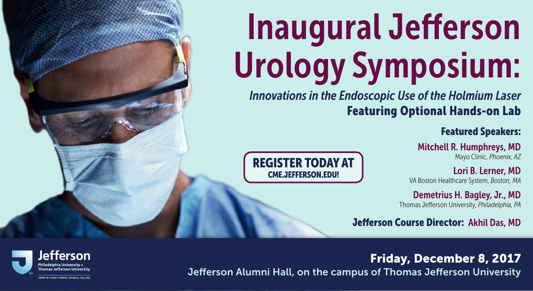# Inaugural Jefferson Urology Symposium:

*Innovations in the Endoscopic Use of the Holmium Laser* Featuring Optional Hands-on Lab

Featured Speakers:

Mitchell R. Humphreys, MD Mayo Clinic, *Phoenix, AZ*

Lori B. Lerner, MD VA Boston Healthcare System, *Boston, MA*

Demetrius H. Bagley, Jr., MD Thomas Jefferson University, *Philadelphia, PA*

Jefferson Course Director: Akhil Das, MD

# Friday, December 8, 2017

Jefferson Alumni Hall, on the campus of Thomas Jefferson University





HOME OF SIDNEY KIMMEL MEDICAL COLLEGE